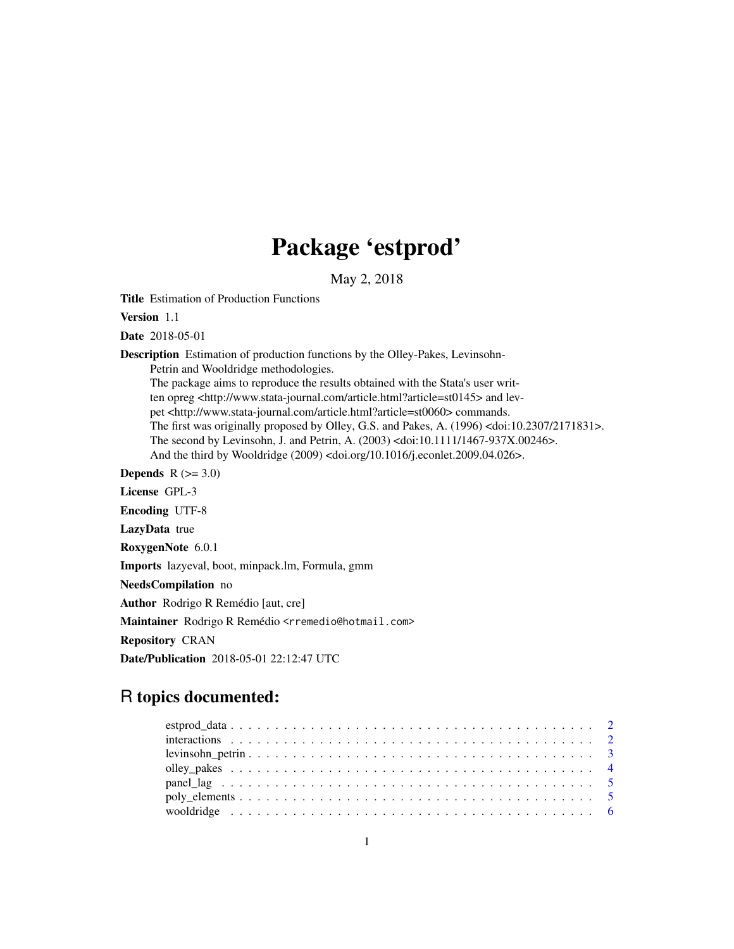## Package 'estprod'

May 2, 2018

<span id="page-0-0"></span>Title Estimation of Production Functions

Version 1.1

Date 2018-05-01

Description Estimation of production functions by the Olley-Pakes, Levinsohn-

Petrin and Wooldridge methodologies.

The package aims to reproduce the results obtained with the Stata's user written opreg <http://www.stata-journal.com/article.html?article=st0145> and levpet <http://www.stata-journal.com/article.html?article=st0060> commands. The first was originally proposed by Olley, G.S. and Pakes, A. (1996) <doi:10.2307/2171831>. The second by Levinsohn, J. and Petrin, A. (2003) <doi:10.1111/1467-937X.00246>. And the third by Wooldridge (2009) <doi.org/10.1016/j.econlet.2009.04.026>.

Depends  $R$  ( $>= 3.0$ ) License GPL-3 Encoding UTF-8 LazyData true RoxygenNote 6.0.1 Imports lazyeval, boot, minpack.lm, Formula, gmm NeedsCompilation no Author Rodrigo R Remédio [aut, cre] Maintainer Rodrigo R Remédio <rremedio@hotmail.com> Repository CRAN Date/Publication 2018-05-01 22:12:47 UTC

### R topics documented: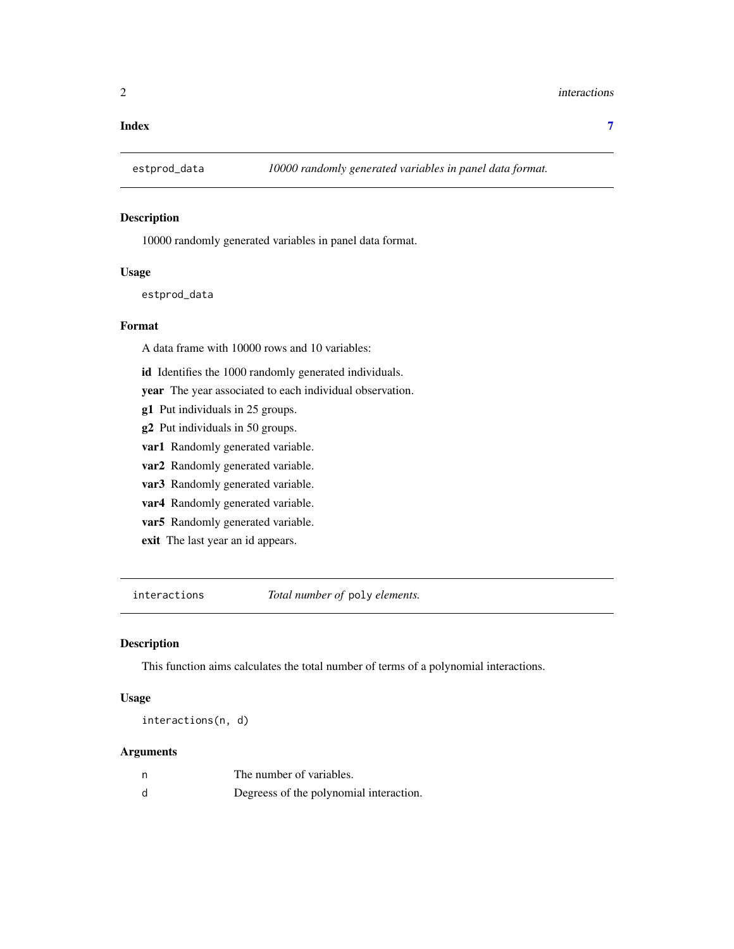#### <span id="page-1-0"></span>**Index** [7](#page-6-0) **7**

#### Description

10000 randomly generated variables in panel data format.

#### Usage

estprod\_data

#### Format

A data frame with 10000 rows and 10 variables:

id Identifies the 1000 randomly generated individuals.

year The year associated to each individual observation.

- g1 Put individuals in 25 groups.
- g2 Put individuals in 50 groups.
- var1 Randomly generated variable.
- var2 Randomly generated variable.
- var3 Randomly generated variable.
- var4 Randomly generated variable.
- var5 Randomly generated variable.
- exit The last year an id appears.

interactions *Total number of* poly *elements.*

#### Description

This function aims calculates the total number of terms of a polynomial interactions.

#### Usage

interactions(n, d)

#### Arguments

| The number of variables.                |
|-----------------------------------------|
| Degreess of the polynomial interaction. |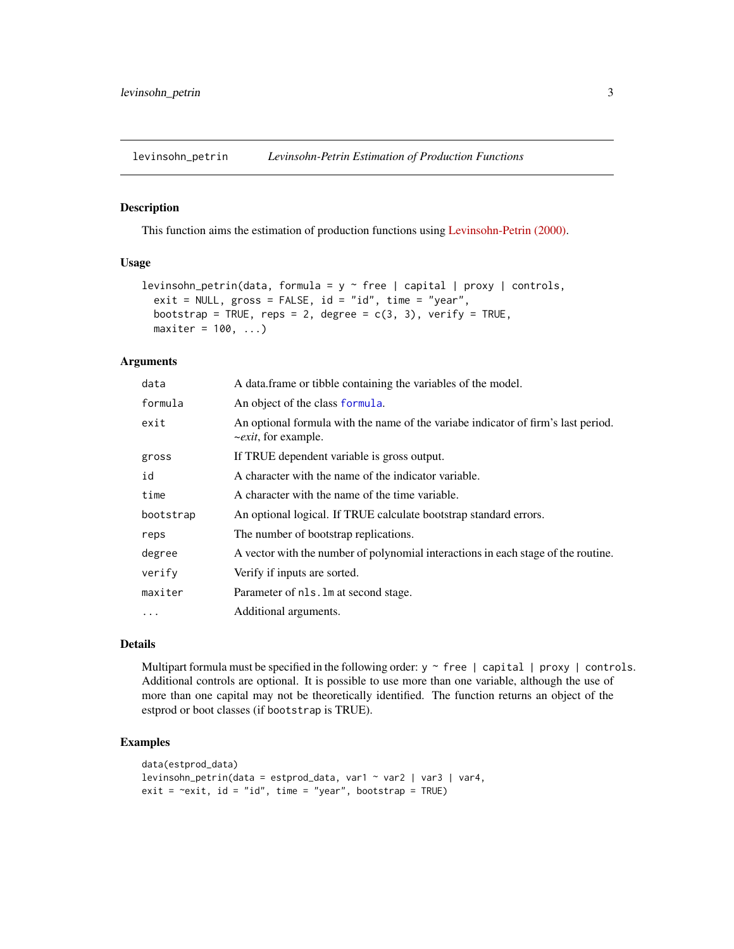<span id="page-2-0"></span>

This function aims the estimation of production functions using [Levinsohn-Petrin \(2000\).](http://www.nber.org/papers/w7819)

#### Usage

```
levinsohn_petrin(data, formula = y \sim free | capital | proxy | controls,
  exit = NULL, gross = FALSE, id = "id", time = "year",bootstrap = TRUE, reps = 2, degree = c(3, 3), verify = TRUE,
 maxiter = 100, ...)
```
#### Arguments

| data      | A data frame or tibble containing the variables of the model.                                                          |
|-----------|------------------------------------------------------------------------------------------------------------------------|
| formula   | An object of the class formula.                                                                                        |
| exit      | An optional formula with the name of the variabe indicator of firm's last period.<br>$\sim$ <i>exit</i> , for example. |
| gross     | If TRUE dependent variable is gross output.                                                                            |
| id        | A character with the name of the indicator variable.                                                                   |
| time      | A character with the name of the time variable.                                                                        |
| bootstrap | An optional logical. If TRUE calculate bootstrap standard errors.                                                      |
| reps      | The number of bootstrap replications.                                                                                  |
| degree    | A vector with the number of polynomial interactions in each stage of the routine.                                      |
| verify    | Verify if inputs are sorted.                                                                                           |
| maxiter   | Parameter of nls. Im at second stage.                                                                                  |
| $\cdots$  | Additional arguments.                                                                                                  |

#### Details

Multipart formula must be specified in the following order:  $y \sim$  free | capital | proxy | controls. Additional controls are optional. It is possible to use more than one variable, although the use of more than one capital may not be theoretically identified. The function returns an object of the estprod or boot classes (if bootstrap is TRUE).

#### Examples

```
data(estprod_data)
levinsohn_petrin(data = estprod_data, var1 ~ var2 | var3 | var4,
exit = \texttt{result}, id = "id", time = "year", bootstrap = TRUE)
```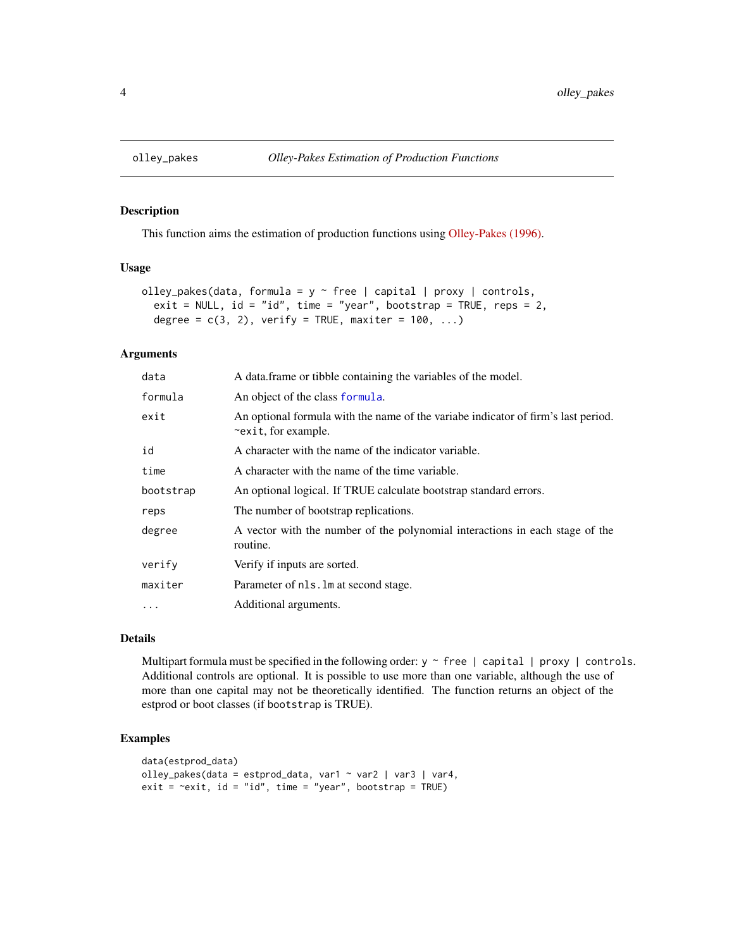This function aims the estimation of production functions using [Olley-Pakes \(1996\).](https://www.jstor.org/stable/2171831?seq=1#page_scan_tab_contents)

#### Usage

```
olley_pakes(data, formula = y \sim free | capital | proxy | controls,
  exit = NULL, id = "id", time = "year", bootstrap = TRUE, reps = 2,
  degree = c(3, 2), verify = TRUE, maxiter = 100, ...)
```
#### Arguments

| A data frame or tibble containing the variables of the model.                                            |
|----------------------------------------------------------------------------------------------------------|
| An object of the class formula.                                                                          |
| An optional formula with the name of the variabe indicator of firm's last period.<br>~exit, for example. |
| A character with the name of the indicator variable.                                                     |
| A character with the name of the time variable.                                                          |
| An optional logical. If TRUE calculate bootstrap standard errors.                                        |
| The number of bootstrap replications.                                                                    |
| A vector with the number of the polynomial interactions in each stage of the<br>routine.                 |
| Verify if inputs are sorted.                                                                             |
| Parameter of nls. Im at second stage.                                                                    |
| Additional arguments.                                                                                    |
|                                                                                                          |

#### Details

Multipart formula must be specified in the following order:  $y \sim$  free | capital | proxy | controls. Additional controls are optional. It is possible to use more than one variable, although the use of more than one capital may not be theoretically identified. The function returns an object of the estprod or boot classes (if bootstrap is TRUE).

#### Examples

```
data(estprod_data)
olley_pakes(data = estprod_data, var1 \sim var2 | var3 | var4,
exit = \text{result}, id = "id", time = "year", bootstrap = TRUE)
```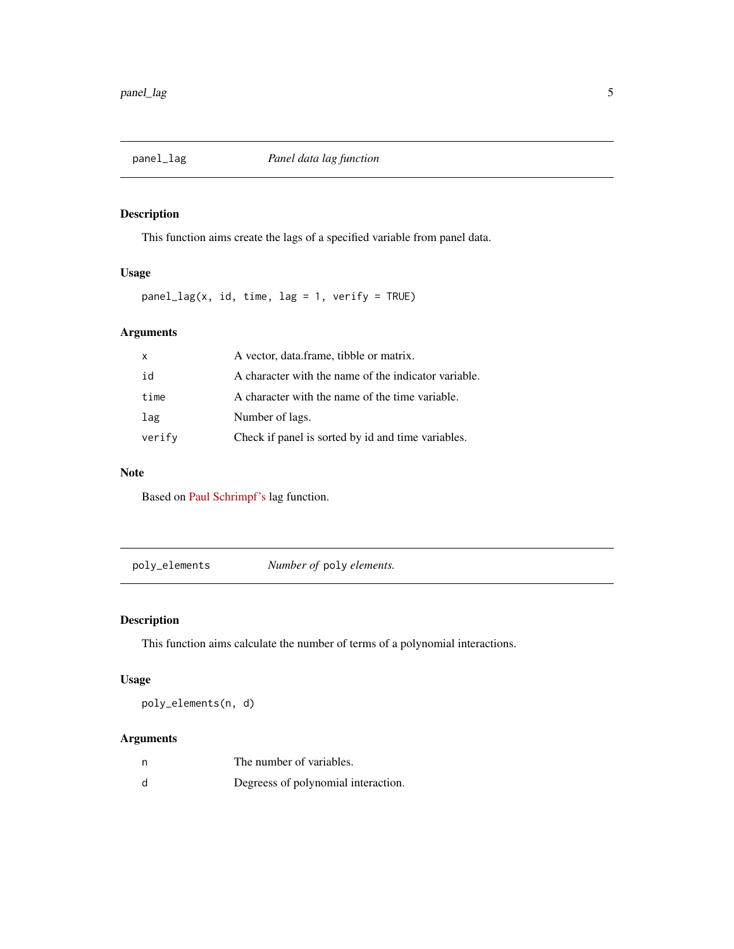<span id="page-4-0"></span>

This function aims create the lags of a specified variable from panel data.

#### Usage

panel\_lag(x, id, time, lag = 1, verify = TRUE)

#### Arguments

| $\mathsf{x}$ | A vector, data.frame, tibble or matrix.              |
|--------------|------------------------------------------------------|
| id           | A character with the name of the indicator variable. |
| time         | A character with the name of the time variable.      |
| lag          | Number of lags.                                      |
| verify       | Check if panel is sorted by id and time variables.   |

#### Note

Based on [Paul Schrimpf's](https://bitbucket.org/paulschrimpf/) lag function.

poly\_elements *Number of* poly *elements.*

#### Description

This function aims calculate the number of terms of a polynomial interactions.

#### Usage

poly\_elements(n, d)

#### Arguments

| n | The number of variables.            |
|---|-------------------------------------|
| d | Degreess of polynomial interaction. |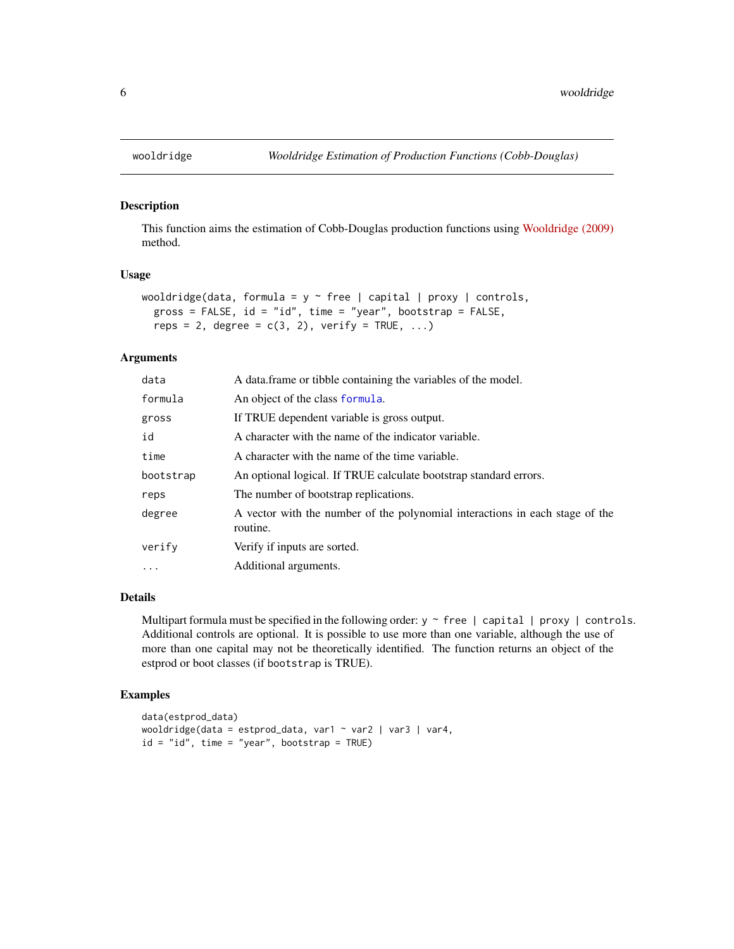This function aims the estimation of Cobb-Douglas production functions using [Wooldridge \(2009\)](https://doi.org/10.1016/j.econlet.2009.04.026) method.

#### Usage

```
wooldridge(data, formula = y \sim free | capital | proxy | controls,
  gross = FALSE, id = "id", time = "year", bootstrap = FALSE,reps = 2, degree = c(3, 2), verify = TRUE, ...)
```
#### Arguments

| data       | A data.frame or tibble containing the variables of the model.                            |
|------------|------------------------------------------------------------------------------------------|
| formula    | An object of the class formula.                                                          |
| gross      | If TRUE dependent variable is gross output.                                              |
| id         | A character with the name of the indicator variable.                                     |
| time       | A character with the name of the time variable.                                          |
| bootstrap  | An optional logical. If TRUE calculate bootstrap standard errors.                        |
| reps       | The number of bootstrap replications.                                                    |
| degree     | A vector with the number of the polynomial interactions in each stage of the<br>routine. |
| verify     | Verify if inputs are sorted.                                                             |
| $\ddots$ . | Additional arguments.                                                                    |
|            |                                                                                          |

#### Details

Multipart formula must be specified in the following order:  $y \sim$  free | capital | proxy | controls. Additional controls are optional. It is possible to use more than one variable, although the use of more than one capital may not be theoretically identified. The function returns an object of the estprod or boot classes (if bootstrap is TRUE).

#### Examples

```
data(estprod_data)
wooldridge(data = estprod_data, var1 ~ var2 | var3 | var4,
id = "id", time = "year", bootstrap = TRUE)
```